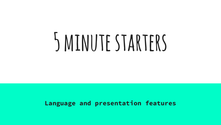# **5 minute starters**

#### **Language and presentation features**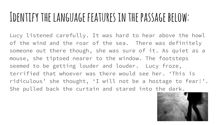#### **Identify the language features in the passage below:**

Lucy listened carefully. It was hard to hear above the howl of the wind and the roar of the sea. There was definitely someone out there though, she was sure of it. As quiet as a mouse, she tiptoed nearer to the window. The footsteps seemed to be getting louder and louder. Lucy froze, terrified that whoever was there would see her. 'This is ridiculous' she thought, 'I will not be a hostage to fear!'. She pulled back the curtain and stared into the dark.

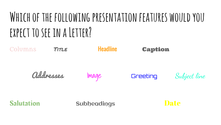# **Which of the following presentation features would you**  EXPECT TO SEE IN A LETTER?

Columns Title Headline Caption Addresses Image Greeting Subject line

Salutation Subheadings Date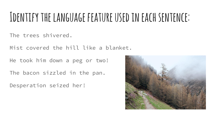#### **Identify the language feature used in each sentence:**

The trees shivered.

Mist covered the hill like a blanket.

He took him down a peg or two!

The bacon sizzled in the pan.

Desperation seized her!

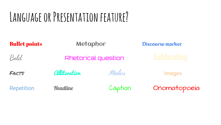# **Language or Presentation feature?**

| <b>Bullet points</b> | Metaphor                          |         | <b>Discourse marker</b> |
|----------------------|-----------------------------------|---------|-------------------------|
| Bold                 | Rhetorical question               |         | <b>Subheading</b>       |
| FACTS                | <i><u><b>alliteration</b></u></i> | Italics | Images                  |
| <b>Repetition</b>    | <b>Headline</b>                   | Caption | Onomatopoeia            |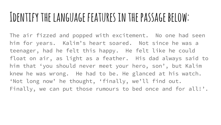#### **Identify the language features in the passage below:**

The air fizzed and popped with excitement. No one had seen him for years. Kalim's heart soared. Not since he was a teenager, had he felt this happy. He felt like he could float on air, as light as a feather. His dad always said to him that 'you should never meet your hero, son', but Kalim knew he was wrong. He had to be. He glanced at his watch. 'Not long now' he thought, 'finally, we'll find out. Finally, we can put those rumours to bed once and for all!'.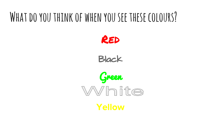#### **What do you think of when you see these colours?**



Black

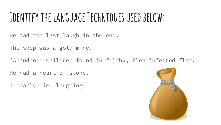# **Identify the Language Techniques used below:**

He had the last laugh in the end.

The shop was a gold mine.

'Abandoned children found in filthy, flea infested flat.'

He had a heart of stone.

I nearly died laughing!

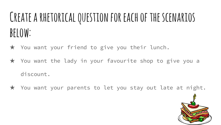# **Create a rhetorical question for each of the scenarios below:**

- ★ You want your friend to give you their lunch.
- ★ You want the lady in your favourite shop to give you a discount.
- ★ You want your parents to let you stay out late at night.

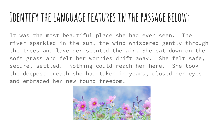#### **Identify the language features in the passage below:**

It was the most beautiful place she had ever seen. The river sparkled in the sun, the wind whispered gently through the trees and lavender scented the air. She sat down on the soft grass and felt her worries drift away. She felt safe, secure, settled. Nothing could reach her here. She took the deepest breath she had taken in years, closed her eyes and embraced her new found freedom.